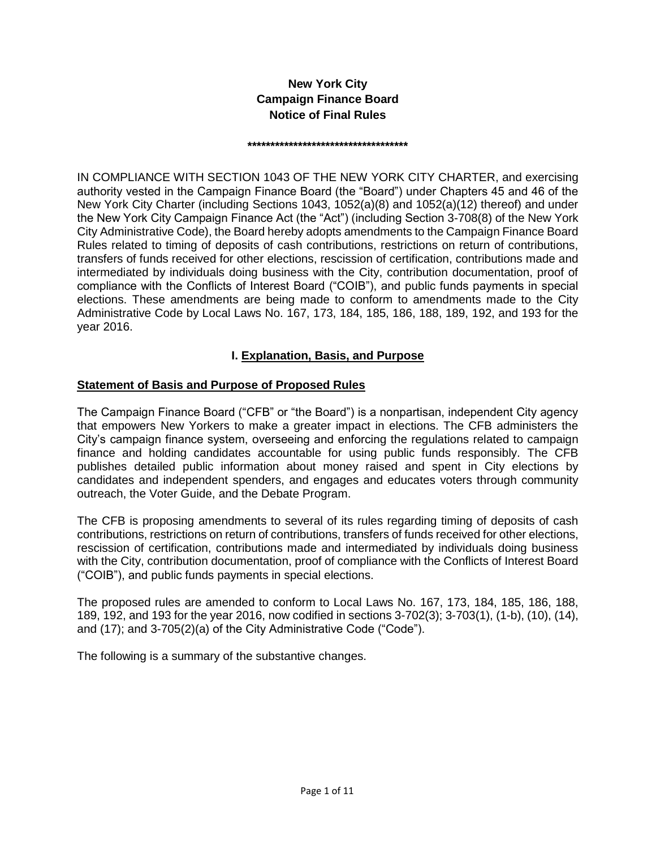# **New York City Campaign Finance Board Notice of Final Rules**

#### **\*\*\*\*\*\*\*\*\*\*\*\*\*\*\*\*\*\*\*\*\*\*\*\*\*\*\*\*\*\*\*\*\*\*\***

IN COMPLIANCE WITH SECTION 1043 OF THE NEW YORK CITY CHARTER, and exercising authority vested in the Campaign Finance Board (the "Board") under Chapters 45 and 46 of the New York City Charter (including Sections 1043, 1052(a)(8) and 1052(a)(12) thereof) and under the New York City Campaign Finance Act (the "Act") (including Section 3-708(8) of the New York City Administrative Code), the Board hereby adopts amendments to the Campaign Finance Board Rules related to timing of deposits of cash contributions, restrictions on return of contributions, transfers of funds received for other elections, rescission of certification, contributions made and intermediated by individuals doing business with the City, contribution documentation, proof of compliance with the Conflicts of Interest Board ("COIB"), and public funds payments in special elections. These amendments are being made to conform to amendments made to the City Administrative Code by Local Laws No. 167, 173, 184, 185, 186, 188, 189, 192, and 193 for the year 2016.

### **I. Explanation, Basis, and Purpose**

### **Statement of Basis and Purpose of Proposed Rules**

The Campaign Finance Board ("CFB" or "the Board") is a nonpartisan, independent City agency that empowers New Yorkers to make a greater impact in elections. The CFB administers the City's campaign finance system, overseeing and enforcing the regulations related to campaign finance and holding candidates accountable for using public funds responsibly. The CFB publishes detailed public information about money raised and spent in City elections by candidates and independent spenders, and engages and educates voters through community outreach, the Voter Guide, and the Debate Program.

The CFB is proposing amendments to several of its rules regarding timing of deposits of cash contributions, restrictions on return of contributions, transfers of funds received for other elections, rescission of certification, contributions made and intermediated by individuals doing business with the City, contribution documentation, proof of compliance with the Conflicts of Interest Board ("COIB"), and public funds payments in special elections.

The proposed rules are amended to conform to Local Laws No. 167, 173, 184, 185, 186, 188, 189, 192, and 193 for the year 2016, now codified in sections 3-702(3); 3-703(1), (1-b), (10), (14), and (17); and 3-705(2)(a) of the City Administrative Code ("Code").

The following is a summary of the substantive changes.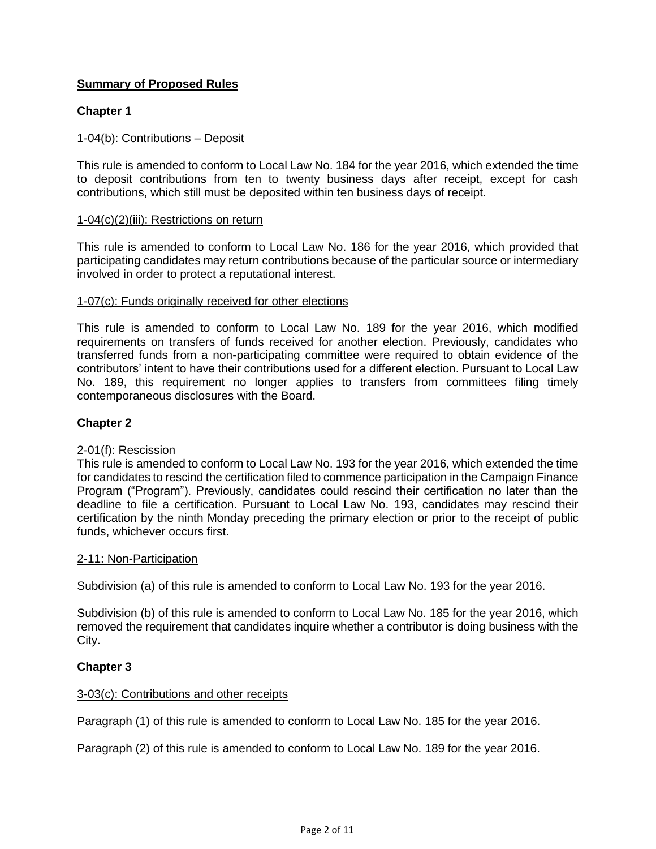## **Summary of Proposed Rules**

### **Chapter 1**

#### 1-04(b): Contributions – Deposit

This rule is amended to conform to Local Law No. 184 for the year 2016, which extended the time to deposit contributions from ten to twenty business days after receipt, except for cash contributions, which still must be deposited within ten business days of receipt.

#### 1-04(c)(2)(iii): Restrictions on return

This rule is amended to conform to Local Law No. 186 for the year 2016, which provided that participating candidates may return contributions because of the particular source or intermediary involved in order to protect a reputational interest.

#### 1-07(c): Funds originally received for other elections

This rule is amended to conform to Local Law No. 189 for the year 2016, which modified requirements on transfers of funds received for another election. Previously, candidates who transferred funds from a non-participating committee were required to obtain evidence of the contributors' intent to have their contributions used for a different election. Pursuant to Local Law No. 189, this requirement no longer applies to transfers from committees filing timely contemporaneous disclosures with the Board.

#### **Chapter 2**

#### 2-01(f): Rescission

This rule is amended to conform to Local Law No. 193 for the year 2016, which extended the time for candidates to rescind the certification filed to commence participation in the Campaign Finance Program ("Program"). Previously, candidates could rescind their certification no later than the deadline to file a certification. Pursuant to Local Law No. 193, candidates may rescind their certification by the ninth Monday preceding the primary election or prior to the receipt of public funds, whichever occurs first.

#### 2-11: Non-Participation

Subdivision (a) of this rule is amended to conform to Local Law No. 193 for the year 2016.

Subdivision (b) of this rule is amended to conform to Local Law No. 185 for the year 2016, which removed the requirement that candidates inquire whether a contributor is doing business with the City.

#### **Chapter 3**

#### 3-03(c): Contributions and other receipts

Paragraph (1) of this rule is amended to conform to Local Law No. 185 for the year 2016.

Paragraph (2) of this rule is amended to conform to Local Law No. 189 for the year 2016.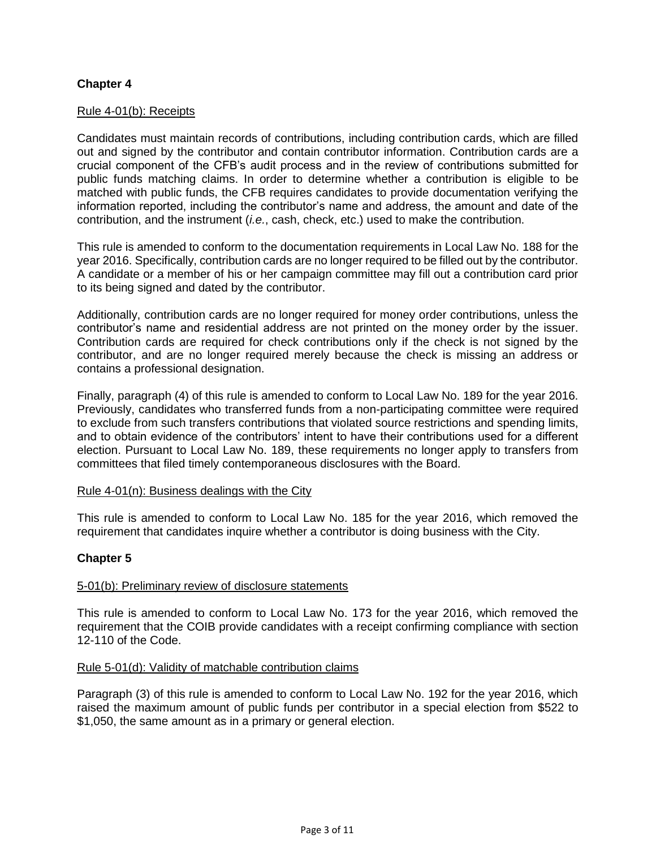### **Chapter 4**

#### Rule 4-01(b): Receipts

Candidates must maintain records of contributions, including contribution cards, which are filled out and signed by the contributor and contain contributor information. Contribution cards are a crucial component of the CFB's audit process and in the review of contributions submitted for public funds matching claims. In order to determine whether a contribution is eligible to be matched with public funds, the CFB requires candidates to provide documentation verifying the information reported, including the contributor's name and address, the amount and date of the contribution, and the instrument (*i.e.*, cash, check, etc.) used to make the contribution.

This rule is amended to conform to the documentation requirements in Local Law No. 188 for the year 2016. Specifically, contribution cards are no longer required to be filled out by the contributor. A candidate or a member of his or her campaign committee may fill out a contribution card prior to its being signed and dated by the contributor.

Additionally, contribution cards are no longer required for money order contributions, unless the contributor's name and residential address are not printed on the money order by the issuer. Contribution cards are required for check contributions only if the check is not signed by the contributor, and are no longer required merely because the check is missing an address or contains a professional designation.

Finally, paragraph (4) of this rule is amended to conform to Local Law No. 189 for the year 2016. Previously, candidates who transferred funds from a non-participating committee were required to exclude from such transfers contributions that violated source restrictions and spending limits, and to obtain evidence of the contributors' intent to have their contributions used for a different election. Pursuant to Local Law No. 189, these requirements no longer apply to transfers from committees that filed timely contemporaneous disclosures with the Board.

#### Rule 4-01(n): Business dealings with the City

This rule is amended to conform to Local Law No. 185 for the year 2016, which removed the requirement that candidates inquire whether a contributor is doing business with the City.

### **Chapter 5**

#### 5-01(b): Preliminary review of disclosure statements

This rule is amended to conform to Local Law No. 173 for the year 2016, which removed the requirement that the COIB provide candidates with a receipt confirming compliance with section 12-110 of the Code.

#### Rule 5-01(d): Validity of matchable contribution claims

Paragraph (3) of this rule is amended to conform to Local Law No. 192 for the year 2016, which raised the maximum amount of public funds per contributor in a special election from \$522 to \$1,050, the same amount as in a primary or general election.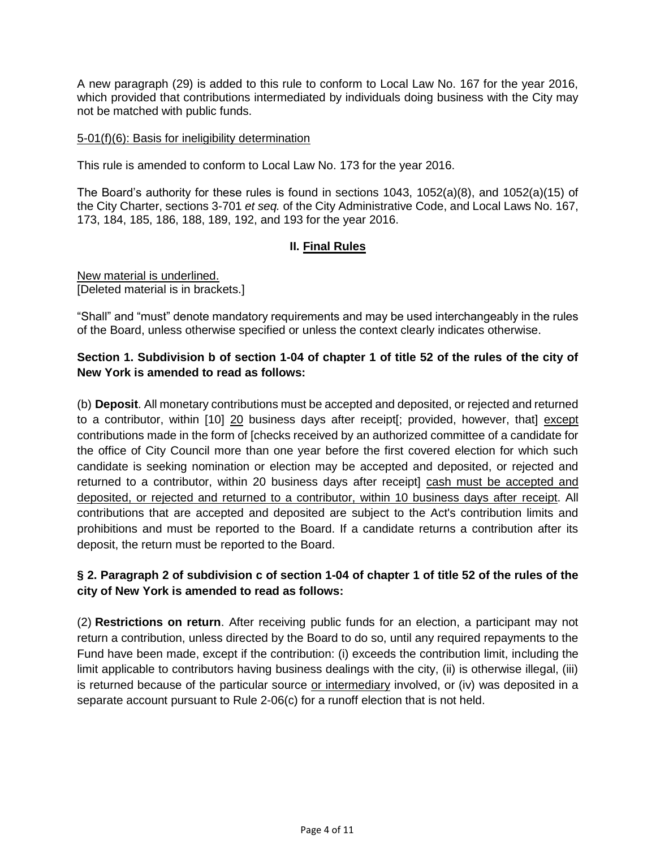A new paragraph (29) is added to this rule to conform to Local Law No. 167 for the year 2016, which provided that contributions intermediated by individuals doing business with the City may not be matched with public funds.

#### 5-01(f)(6): Basis for ineligibility determination

This rule is amended to conform to Local Law No. 173 for the year 2016.

The Board's authority for these rules is found in sections 1043, 1052(a)(8), and 1052(a)(15) of the City Charter, sections 3-701 *et seq.* of the City Administrative Code, and Local Laws No. 167, 173, 184, 185, 186, 188, 189, 192, and 193 for the year 2016.

### **II. Final Rules**

New material is underlined. [Deleted material is in brackets.]

"Shall" and "must" denote mandatory requirements and may be used interchangeably in the rules of the Board, unless otherwise specified or unless the context clearly indicates otherwise.

### **Section 1. Subdivision b of section 1-04 of chapter 1 of title 52 of the rules of the city of New York is amended to read as follows:**

(b) **Deposit**. All monetary contributions must be accepted and deposited, or rejected and returned to a contributor, within [10] 20 business days after receipt[; provided, however, that] except contributions made in the form of [checks received by an authorized committee of a candidate for the office of City Council more than one year before the first covered election for which such candidate is seeking nomination or election may be accepted and deposited, or rejected and returned to a contributor, within 20 business days after receipt] cash must be accepted and deposited, or rejected and returned to a contributor, within 10 business days after receipt. All contributions that are accepted and deposited are subject to the Act's contribution limits and prohibitions and must be reported to the Board. If a candidate returns a contribution after its deposit, the return must be reported to the Board.

### **§ 2. Paragraph 2 of subdivision c of section 1-04 of chapter 1 of title 52 of the rules of the city of New York is amended to read as follows:**

(2) **Restrictions on return**. After receiving public funds for an election, a participant may not return a contribution, unless directed by the Board to do so, until any required repayments to the Fund have been made, except if the contribution: (i) exceeds the contribution limit, including the limit applicable to contributors having business dealings with the city, (ii) is otherwise illegal, (iii) is returned because of the particular source or intermediary involved, or (iv) was deposited in a separate account pursuant to Rule 2-06(c) for a runoff election that is not held.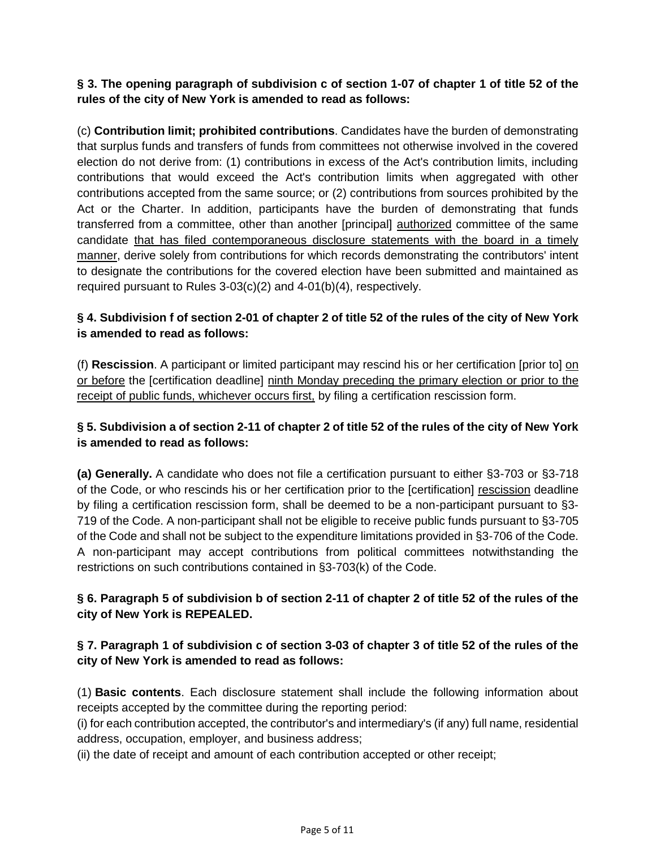**§ 3. The opening paragraph of subdivision c of section 1-07 of chapter 1 of title 52 of the rules of the city of New York is amended to read as follows:**

(c) **Contribution limit; prohibited contributions**. Candidates have the burden of demonstrating that surplus funds and transfers of funds from committees not otherwise involved in the covered election do not derive from: (1) contributions in excess of the Act's contribution limits, including contributions that would exceed the Act's contribution limits when aggregated with other contributions accepted from the same source; or (2) contributions from sources prohibited by the Act or the Charter. In addition, participants have the burden of demonstrating that funds transferred from a committee, other than another [principal] authorized committee of the same candidate that has filed contemporaneous disclosure statements with the board in a timely manner, derive solely from contributions for which records demonstrating the contributors' intent to designate the contributions for the covered election have been submitted and maintained as required pursuant to Rules 3-03(c)(2) and 4-01(b)(4), respectively.

# **§ 4. Subdivision f of section 2-01 of chapter 2 of title 52 of the rules of the city of New York is amended to read as follows:**

(f) **Rescission**. A participant or limited participant may rescind his or her certification [prior to] on or before the [certification deadline] ninth Monday preceding the primary election or prior to the receipt of public funds, whichever occurs first, by filing a certification rescission form.

# **§ 5. Subdivision a of section 2-11 of chapter 2 of title 52 of the rules of the city of New York is amended to read as follows:**

**(a) Generally.** A candidate who does not file a certification pursuant to either §3-703 or §3-718 of the Code, or who rescinds his or her certification prior to the [certification] rescission deadline by filing a certification rescission form, shall be deemed to be a non-participant pursuant to §3- 719 of the Code. A non-participant shall not be eligible to receive public funds pursuant to §3-705 of the Code and shall not be subject to the expenditure limitations provided in §3-706 of the Code. A non-participant may accept contributions from political committees notwithstanding the restrictions on such contributions contained in §3-703(k) of the Code.

# **§ 6. Paragraph 5 of subdivision b of section 2-11 of chapter 2 of title 52 of the rules of the city of New York is REPEALED.**

# **§ 7. Paragraph 1 of subdivision c of section 3-03 of chapter 3 of title 52 of the rules of the city of New York is amended to read as follows:**

(1) **Basic contents**. Each disclosure statement shall include the following information about receipts accepted by the committee during the reporting period:

(i) for each contribution accepted, the contributor's and intermediary's (if any) full name, residential address, occupation, employer, and business address;

(ii) the date of receipt and amount of each contribution accepted or other receipt;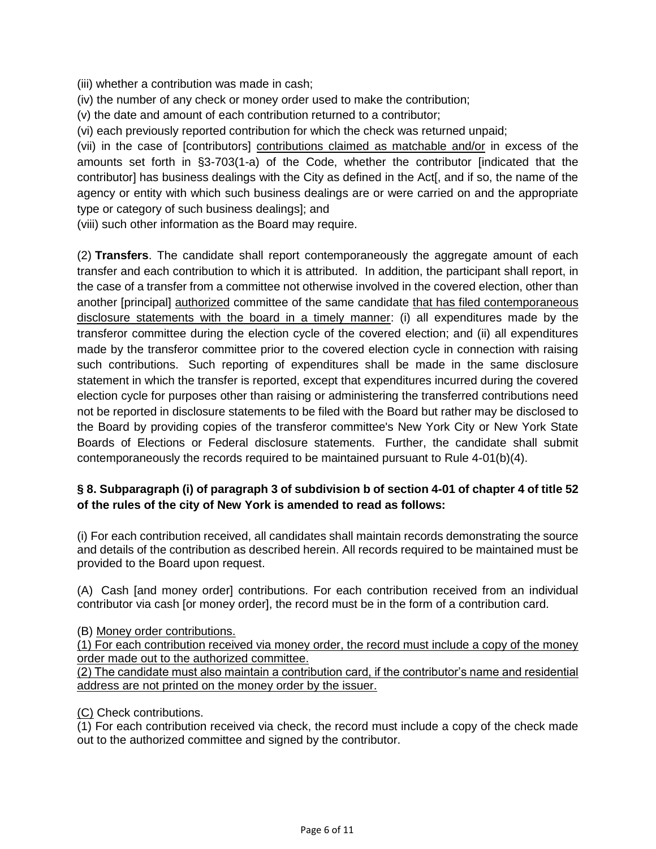(iii) whether a contribution was made in cash;

(iv) the number of any check or money order used to make the contribution;

(v) the date and amount of each contribution returned to a contributor;

(vi) each previously reported contribution for which the check was returned unpaid;

(vii) in the case of [contributors] contributions claimed as matchable and/or in excess of the amounts set forth in §3-703(1-a) of the Code, whether the contributor [indicated that the contributor] has business dealings with the City as defined in the Act[, and if so, the name of the agency or entity with which such business dealings are or were carried on and the appropriate type or category of such business dealings]; and

(viii) such other information as the Board may require.

(2) **Transfers**. The candidate shall report contemporaneously the aggregate amount of each transfer and each contribution to which it is attributed. In addition, the participant shall report, in the case of a transfer from a committee not otherwise involved in the covered election, other than another [principal] authorized committee of the same candidate that has filed contemporaneous disclosure statements with the board in a timely manner: (i) all expenditures made by the transferor committee during the election cycle of the covered election; and (ii) all expenditures made by the transferor committee prior to the covered election cycle in connection with raising such contributions. Such reporting of expenditures shall be made in the same disclosure statement in which the transfer is reported, except that expenditures incurred during the covered election cycle for purposes other than raising or administering the transferred contributions need not be reported in disclosure statements to be filed with the Board but rather may be disclosed to the Board by providing copies of the transferor committee's New York City or New York State Boards of Elections or Federal disclosure statements. Further, the candidate shall submit contemporaneously the records required to be maintained pursuant to Rule 4-01(b)(4).

### **§ 8. Subparagraph (i) of paragraph 3 of subdivision b of section 4-01 of chapter 4 of title 52 of the rules of the city of New York is amended to read as follows:**

(i) For each contribution received, all candidates shall maintain records demonstrating the source and details of the contribution as described herein. All records required to be maintained must be provided to the Board upon request.

(A) Cash [and money order] contributions. For each contribution received from an individual contributor via cash [or money order], the record must be in the form of a contribution card.

(B) Money order contributions.

(1) For each contribution received via money order, the record must include a copy of the money order made out to the authorized committee.

(2) The candidate must also maintain a contribution card, if the contributor's name and residential address are not printed on the money order by the issuer.

(C) Check contributions.

 $\overline{(1)}$  For each contribution received via check, the record must include a copy of the check made out to the authorized committee and signed by the contributor.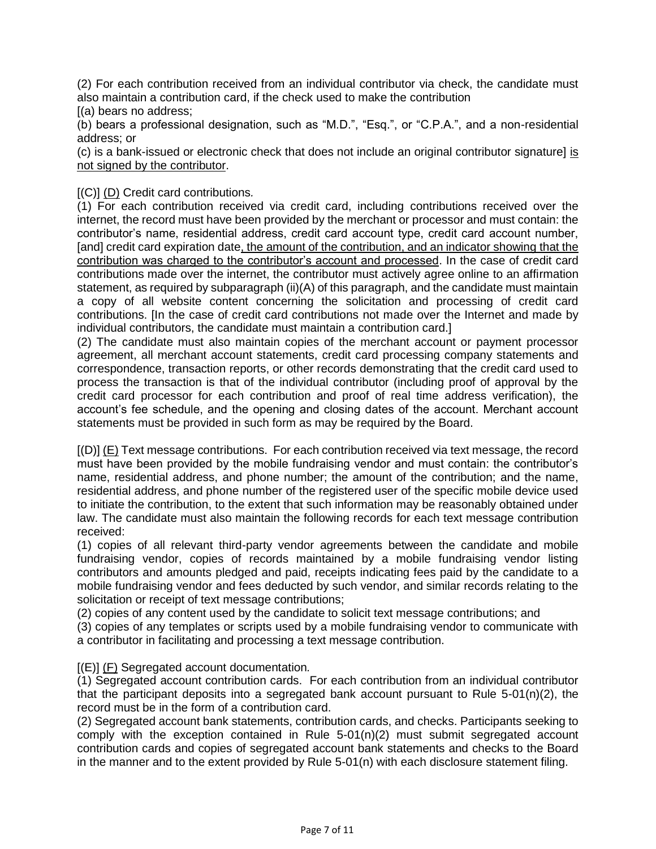(2) For each contribution received from an individual contributor via check, the candidate must also maintain a contribution card, if the check used to make the contribution

[(a) bears no address;

(b) bears a professional designation, such as "M.D.", "Esq.", or "C.P.A.", and a non-residential address; or

(c) is a bank-issued or electronic check that does not include an original contributor signature] is not signed by the contributor.

#### [(C)] (D) Credit card contributions*.*

(1) For each contribution received via credit card, including contributions received over the internet, the record must have been provided by the merchant or processor and must contain: the contributor's name, residential address, credit card account type, credit card account number, [and] credit card expiration date, the amount of the contribution, and an indicator showing that the contribution was charged to the contributor's account and processed. In the case of credit card contributions made over the internet, the contributor must actively agree online to an affirmation statement, as required by subparagraph (ii)(A) of this paragraph, and the candidate must maintain a copy of all website content concerning the solicitation and processing of credit card contributions. [In the case of credit card contributions not made over the Internet and made by individual contributors, the candidate must maintain a contribution card.]

(2) The candidate must also maintain copies of the merchant account or payment processor agreement, all merchant account statements, credit card processing company statements and correspondence, transaction reports, or other records demonstrating that the credit card used to process the transaction is that of the individual contributor (including proof of approval by the credit card processor for each contribution and proof of real time address verification), the account's fee schedule, and the opening and closing dates of the account. Merchant account statements must be provided in such form as may be required by the Board.

[(D)] (E) Text message contributions. For each contribution received via text message, the record must have been provided by the mobile fundraising vendor and must contain: the contributor's name, residential address, and phone number; the amount of the contribution; and the name, residential address, and phone number of the registered user of the specific mobile device used to initiate the contribution, to the extent that such information may be reasonably obtained under law. The candidate must also maintain the following records for each text message contribution received:

(1) copies of all relevant third-party vendor agreements between the candidate and mobile fundraising vendor, copies of records maintained by a mobile fundraising vendor listing contributors and amounts pledged and paid, receipts indicating fees paid by the candidate to a mobile fundraising vendor and fees deducted by such vendor, and similar records relating to the solicitation or receipt of text message contributions;

(2) copies of any content used by the candidate to solicit text message contributions; and

(3) copies of any templates or scripts used by a mobile fundraising vendor to communicate with a contributor in facilitating and processing a text message contribution.

[(E)] (F) Segregated account documentation*.*

(1) Segregated account contribution cards. For each contribution from an individual contributor that the participant deposits into a segregated bank account pursuant to Rule  $5-01(n)(2)$ , the record must be in the form of a contribution card.

(2) Segregated account bank statements, contribution cards, and checks. Participants seeking to comply with the exception contained in Rule  $5-01(n)(2)$  must submit segregated account contribution cards and copies of segregated account bank statements and checks to the Board in the manner and to the extent provided by Rule 5-01(n) with each disclosure statement filing.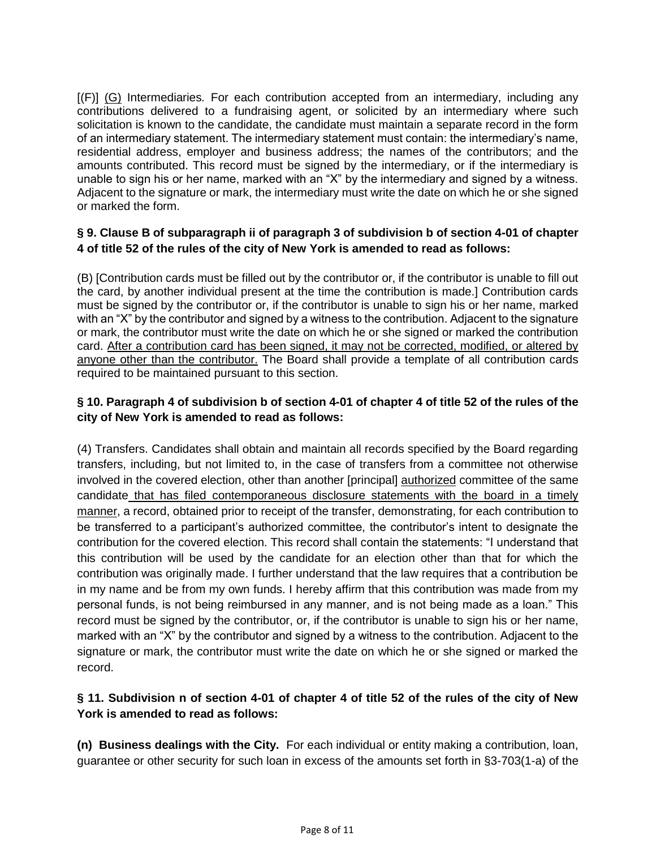[(F)] (G) Intermediaries*.* For each contribution accepted from an intermediary, including any contributions delivered to a fundraising agent, or solicited by an intermediary where such solicitation is known to the candidate, the candidate must maintain a separate record in the form of an intermediary statement. The intermediary statement must contain: the intermediary's name, residential address, employer and business address; the names of the contributors; and the amounts contributed. This record must be signed by the intermediary, or if the intermediary is unable to sign his or her name, marked with an "X" by the intermediary and signed by a witness. Adjacent to the signature or mark, the intermediary must write the date on which he or she signed or marked the form.

### **§ 9. Clause B of subparagraph ii of paragraph 3 of subdivision b of section 4-01 of chapter 4 of title 52 of the rules of the city of New York is amended to read as follows:**

(B) [Contribution cards must be filled out by the contributor or, if the contributor is unable to fill out the card, by another individual present at the time the contribution is made.] Contribution cards must be signed by the contributor or, if the contributor is unable to sign his or her name, marked with an "X" by the contributor and signed by a witness to the contribution. Adjacent to the signature or mark, the contributor must write the date on which he or she signed or marked the contribution card. After a contribution card has been signed, it may not be corrected, modified, or altered by anyone other than the contributor. The Board shall provide a template of all contribution cards required to be maintained pursuant to this section.

## **§ 10. Paragraph 4 of subdivision b of section 4-01 of chapter 4 of title 52 of the rules of the city of New York is amended to read as follows:**

(4) Transfers. Candidates shall obtain and maintain all records specified by the Board regarding transfers, including, but not limited to, in the case of transfers from a committee not otherwise involved in the covered election, other than another [principal] authorized committee of the same candidate that has filed contemporaneous disclosure statements with the board in a timely manner, a record, obtained prior to receipt of the transfer, demonstrating, for each contribution to be transferred to a participant's authorized committee, the contributor's intent to designate the contribution for the covered election. This record shall contain the statements: "I understand that this contribution will be used by the candidate for an election other than that for which the contribution was originally made. I further understand that the law requires that a contribution be in my name and be from my own funds. I hereby affirm that this contribution was made from my personal funds, is not being reimbursed in any manner, and is not being made as a loan." This record must be signed by the contributor, or, if the contributor is unable to sign his or her name, marked with an "X" by the contributor and signed by a witness to the contribution. Adjacent to the signature or mark, the contributor must write the date on which he or she signed or marked the record.

### **§ 11. Subdivision n of section 4-01 of chapter 4 of title 52 of the rules of the city of New York is amended to read as follows:**

**(n) Business dealings with the City.** For each individual or entity making a contribution, loan, guarantee or other security for such loan in excess of the amounts set forth in §3-703(1-a) of the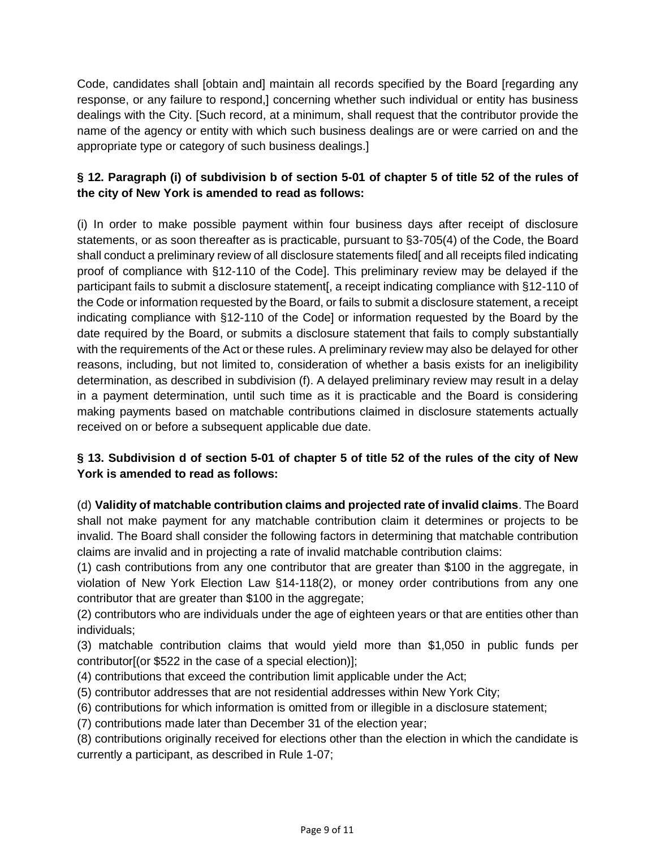Code, candidates shall [obtain and] maintain all records specified by the Board [regarding any response, or any failure to respond,] concerning whether such individual or entity has business dealings with the City. [Such record, at a minimum, shall request that the contributor provide the name of the agency or entity with which such business dealings are or were carried on and the appropriate type or category of such business dealings.]

# **§ 12. Paragraph (i) of subdivision b of section 5-01 of chapter 5 of title 52 of the rules of the city of New York is amended to read as follows:**

(i) In order to make possible payment within four business days after receipt of disclosure statements, or as soon thereafter as is practicable, pursuant to §3-705(4) of the Code, the Board shall conduct a preliminary review of all disclosure statements filed and all receipts filed indicating proof of compliance with §12-110 of the Code]. This preliminary review may be delayed if the participant fails to submit a disclosure statement[, a receipt indicating compliance with §12-110 of the Code or information requested by the Board, or fails to submit a disclosure statement, a receipt indicating compliance with §12-110 of the Code] or information requested by the Board by the date required by the Board, or submits a disclosure statement that fails to comply substantially with the requirements of the Act or these rules. A preliminary review may also be delayed for other reasons, including, but not limited to, consideration of whether a basis exists for an ineligibility determination, as described in subdivision (f). A delayed preliminary review may result in a delay in a payment determination, until such time as it is practicable and the Board is considering making payments based on matchable contributions claimed in disclosure statements actually received on or before a subsequent applicable due date.

# **§ 13. Subdivision d of section 5-01 of chapter 5 of title 52 of the rules of the city of New York is amended to read as follows:**

(d) **Validity of matchable contribution claims and projected rate of invalid claims**. The Board shall not make payment for any matchable contribution claim it determines or projects to be invalid. The Board shall consider the following factors in determining that matchable contribution claims are invalid and in projecting a rate of invalid matchable contribution claims:

(1) cash contributions from any one contributor that are greater than \$100 in the aggregate, in violation of New York Election Law §14-118(2), or money order contributions from any one contributor that are greater than \$100 in the aggregate;

(2) contributors who are individuals under the age of eighteen years or that are entities other than individuals;

(3) matchable contribution claims that would yield more than \$1,050 in public funds per contributor[(or \$522 in the case of a special election)];

- (4) contributions that exceed the contribution limit applicable under the Act;
- (5) contributor addresses that are not residential addresses within New York City;
- (6) contributions for which information is omitted from or illegible in a disclosure statement;
- (7) contributions made later than December 31 of the election year;

(8) contributions originally received for elections other than the election in which the candidate is currently a participant, as described in Rule 1-07;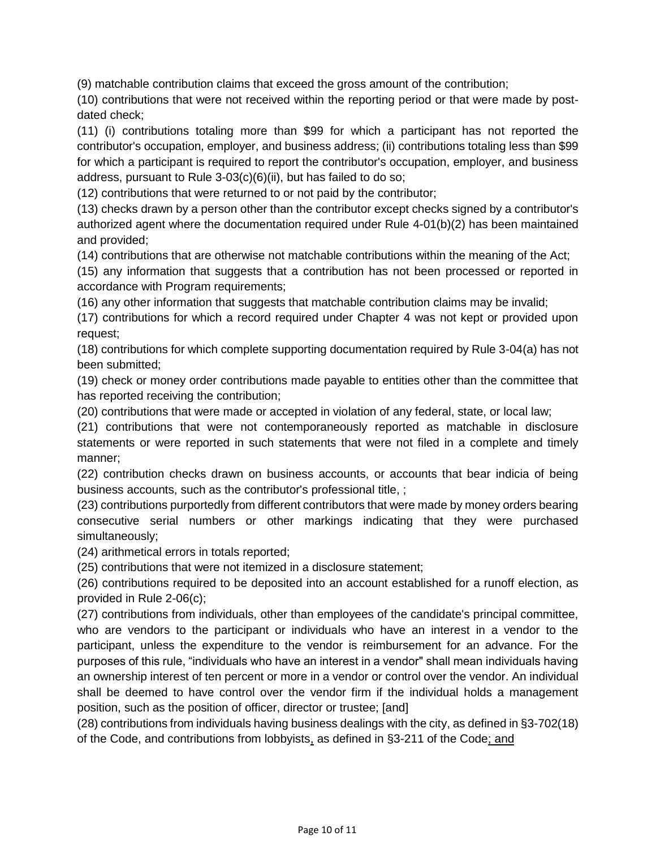(9) matchable contribution claims that exceed the gross amount of the contribution;

(10) contributions that were not received within the reporting period or that were made by postdated check;

(11) (i) contributions totaling more than \$99 for which a participant has not reported the contributor's occupation, employer, and business address; (ii) contributions totaling less than \$99 for which a participant is required to report the contributor's occupation, employer, and business address, pursuant to Rule 3-03(c)(6)(ii), but has failed to do so;

(12) contributions that were returned to or not paid by the contributor;

(13) checks drawn by a person other than the contributor except checks signed by a contributor's authorized agent where the documentation required under Rule 4-01(b)(2) has been maintained and provided;

(14) contributions that are otherwise not matchable contributions within the meaning of the Act;

(15) any information that suggests that a contribution has not been processed or reported in accordance with Program requirements;

(16) any other information that suggests that matchable contribution claims may be invalid;

(17) contributions for which a record required under Chapter 4 was not kept or provided upon request;

(18) contributions for which complete supporting documentation required by Rule 3-04(a) has not been submitted;

(19) check or money order contributions made payable to entities other than the committee that has reported receiving the contribution;

(20) contributions that were made or accepted in violation of any federal, state, or local law;

(21) contributions that were not contemporaneously reported as matchable in disclosure statements or were reported in such statements that were not filed in a complete and timely manner;

(22) contribution checks drawn on business accounts, or accounts that bear indicia of being business accounts, such as the contributor's professional title, ;

(23) contributions purportedly from different contributors that were made by money orders bearing consecutive serial numbers or other markings indicating that they were purchased simultaneously;

(24) arithmetical errors in totals reported;

(25) contributions that were not itemized in a disclosure statement;

(26) contributions required to be deposited into an account established for a runoff election, as provided in Rule 2-06(c);

(27) contributions from individuals, other than employees of the candidate's principal committee, who are vendors to the participant or individuals who have an interest in a vendor to the participant, unless the expenditure to the vendor is reimbursement for an advance. For the purposes of this rule, "individuals who have an interest in a vendor" shall mean individuals having an ownership interest of ten percent or more in a vendor or control over the vendor. An individual shall be deemed to have control over the vendor firm if the individual holds a management position, such as the position of officer, director or trustee; [and]

(28) contributions from individuals having business dealings with the city, as defined in §3-702(18) of the Code, and contributions from lobbyists, as defined in §3-211 of the Code; and